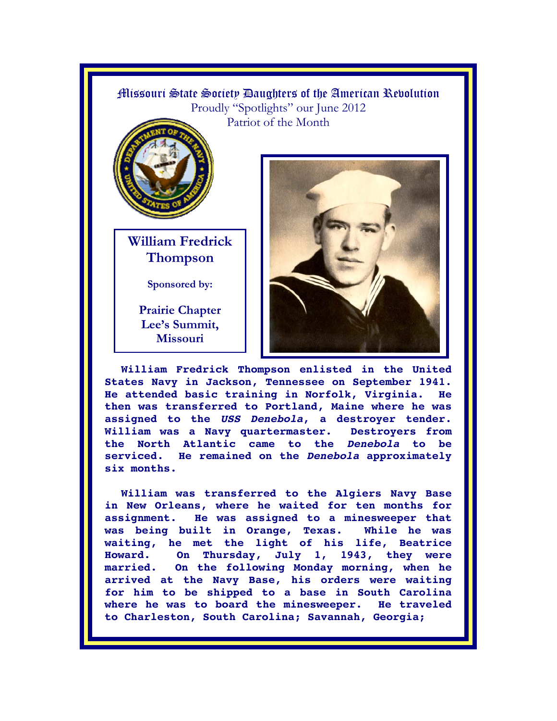## Missouri State Society Daughters of the American Revolution Proudly "Spotlights" our June 2012 Patriot of the Month



**William Fredrick Thompson** 

**Sponsored by:** 

**Prairie Chapter Lee's Summit, Missouri** 



**William Fredrick Thompson enlisted in the United States Navy in Jackson, Tennessee on September 1941. He attended basic training in Norfolk, Virginia. He then was transferred to Portland, Maine where he was assigned to the** *USS Denebola***, a destroyer tender. William was a Navy quartermaster. Destroyers from the North Atlantic came to the** *Denebola* **to be serviced. He remained on the** *Denebola* **approximately six months.** 

**William was transferred to the Algiers Navy Base in New Orleans, where he waited for ten months for assignment. He was assigned to a minesweeper that was being built in Orange, Texas. While he was waiting, he met the light of his life, Beatrice Howard. On Thursday, July 1, 1943, they were married. On the following Monday morning, when he arrived at the Navy Base, his orders were waiting for him to be shipped to a base in South Carolina where he was to board the minesweeper. He traveled to Charleston, South Carolina; Savannah, Georgia;**